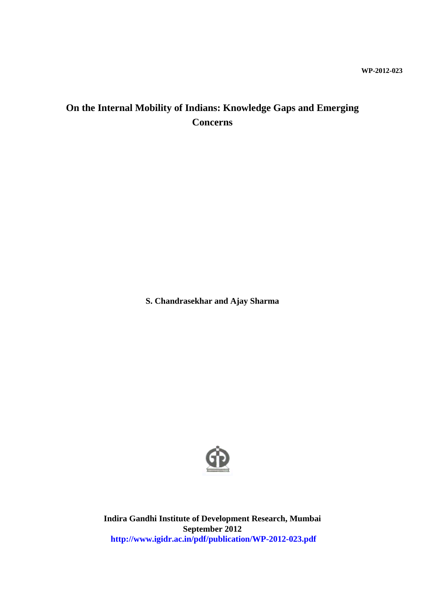## **WP-2012-023**

# **On the Internal Mobility of Indians: Knowledge Gaps and Emerging Concerns**

**S. Chandrasekhar and Ajay Sharma**



**Indira Gandhi Institute of Development Research, Mumbai September 2012 http://www.igidr.ac.in/pdf/publication/WP-2012-023.pdf**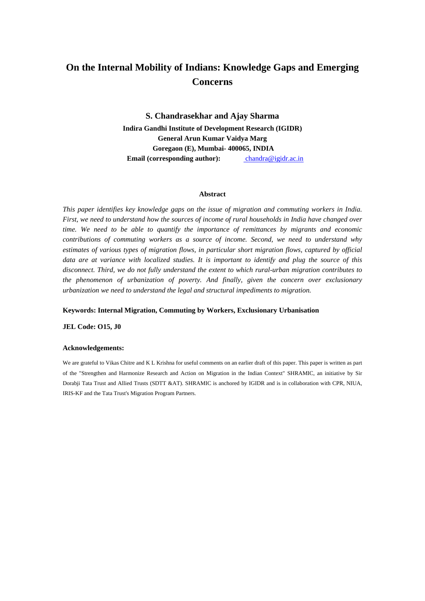# **On the Internal Mobility of Indians: Knowledge Gaps and Emerging Concerns**

**S. Chandrasekhar and Ajay Sharma Indira Gandhi Institute of Development Research (IGIDR) General Arun Kumar Vaidya Marg Goregaon (E), Mumbai- 400065, INDIA Email (corresponding author):** chandra@igidr.ac.in

#### **Abstract**

*This paper identifies key knowledge gaps on the issue of migration and commuting workers in India. First, we need to understand how the sources of income of rural households in India have changed over time. We need to be able to quantify the importance of remittances by migrants and economic contributions of commuting workers as a source of income. Second, we need to understand why estimates of various types of migration flows, in particular short migration flows, captured by official data are at variance with localized studies. It is important to identify and plug the source of this disconnect. Third, we do not fully understand the extent to which rural-urban migration contributes to the phenomenon of urbanization of poverty. And finally, given the concern over exclusionary urbanization we need to understand the legal and structural impediments to migration.*

#### **Keywords: Internal Migration, Commuting by Workers, Exclusionary Urbanisation**

**JEL Code: O15, J0**

#### **Acknowledgements:**

We are grateful to Vikas Chitre and K L Krishna for useful comments on an earlier draft of this paper. This paper is written as part of the "Strengthen and Harmonize Research and Action on Migration in the Indian Context" SHRAMIC, an initiative by Sir Dorabji Tata Trust and Allied Trusts (SDTT &AT). SHRAMIC is anchored by IGIDR and is in collaboration with CPR, NIUA, IRIS-KF and the Tata Trust's Migration Program Partners.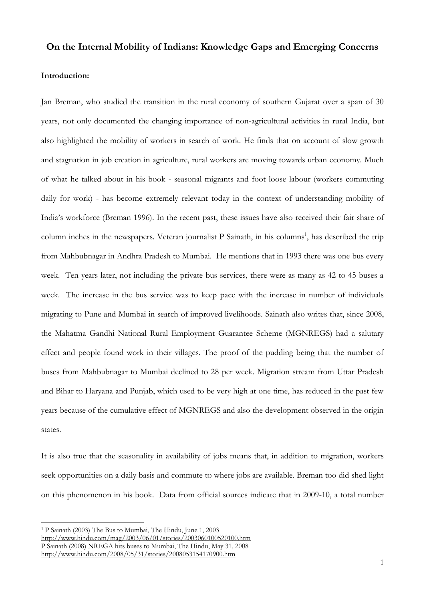# **On the Internal Mobility of Indians: Knowledge Gaps and Emerging Concerns**

## **Introduction:**

Jan Breman, who studied the transition in the rural economy of southern Gujarat over a span of 30 years, not only documented the changing importance of non-agricultural activities in rural India, but also highlighted the mobility of workers in search of work. He finds that on account of slow growth and stagnation in job creation in agriculture, rural workers are moving towards urban economy. Much of what he talked about in his book - seasonal migrants and foot loose labour (workers commuting daily for work) - has become extremely relevant today in the context of understanding mobility of India's workforce (Breman 1996). In the recent past, these issues have also received their fair share of column inches in the newspapers. Veteran journalist P Sainath, in his columns<sup>1</sup>, has described the trip from Mahbubnagar in Andhra Pradesh to Mumbai. He mentions that in 1993 there was one bus every week. Ten years later, not including the private bus services, there were as many as 42 to 45 buses a week. The increase in the bus service was to keep pace with the increase in number of individuals migrating to Pune and Mumbai in search of improved livelihoods. Sainath also writes that, since 2008, the Mahatma Gandhi National Rural Employment Guarantee Scheme (MGNREGS) had a salutary effect and people found work in their villages. The proof of the pudding being that the number of buses from Mahbubnagar to Mumbai declined to 28 per week. Migration stream from Uttar Pradesh and Bihar to Haryana and Punjab, which used to be very high at one time, has reduced in the past few years because of the cumulative effect of MGNREGS and also the development observed in the origin states.

It is also true that the seasonality in availability of jobs means that, in addition to migration, workers seek opportunities on a daily basis and commute to where jobs are available. Breman too did shed light on this phenomenon in his book. Data from official sources indicate that in 2009-10, a total number

<sup>1</sup> P Sainath (2003) The Bus to Mumbai, The Hindu, June 1, 2003 <http://www.hindu.com/mag/2003/06/01/stories/2003060100520100.htm> P Sainath (2008) NREGA hits buses to Mumbai, The Hindu, May 31, 2008 <http://www.hindu.com/2008/05/31/stories/2008053154170900.htm>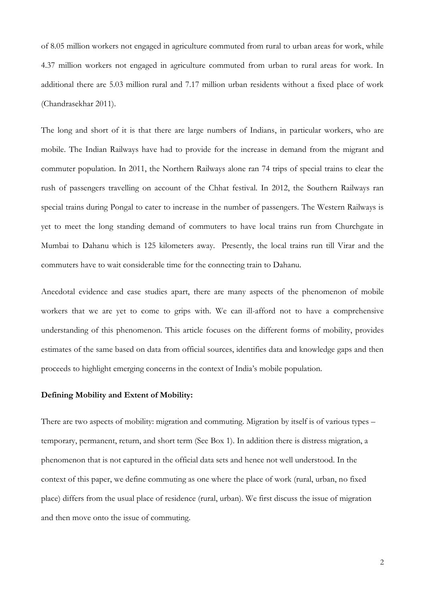of 8.05 million workers not engaged in agriculture commuted from rural to urban areas for work, while 4.37 million workers not engaged in agriculture commuted from urban to rural areas for work. In additional there are 5.03 million rural and 7.17 million urban residents without a fixed place of work (Chandrasekhar 2011).

The long and short of it is that there are large numbers of Indians, in particular workers, who are mobile. The Indian Railways have had to provide for the increase in demand from the migrant and commuter population. In 2011, the Northern Railways alone ran 74 trips of special trains to clear the rush of passengers travelling on account of the Chhat festival. In 2012, the Southern Railways ran special trains during Pongal to cater to increase in the number of passengers. The Western Railways is yet to meet the long standing demand of commuters to have local trains run from Churchgate in Mumbai to Dahanu which is 125 kilometers away. Presently, the local trains run till Virar and the commuters have to wait considerable time for the connecting train to Dahanu.

Anecdotal evidence and case studies apart, there are many aspects of the phenomenon of mobile workers that we are yet to come to grips with. We can ill-afford not to have a comprehensive understanding of this phenomenon. This article focuses on the different forms of mobility, provides estimates of the same based on data from official sources, identifies data and knowledge gaps and then proceeds to highlight emerging concerns in the context of India's mobile population.

## **Defining Mobility and Extent of Mobility:**

There are two aspects of mobility: migration and commuting. Migration by itself is of various types – temporary, permanent, return, and short term (See Box 1). In addition there is distress migration, a phenomenon that is not captured in the official data sets and hence not well understood. In the context of this paper, we define commuting as one where the place of work (rural, urban, no fixed place) differs from the usual place of residence (rural, urban). We first discuss the issue of migration and then move onto the issue of commuting.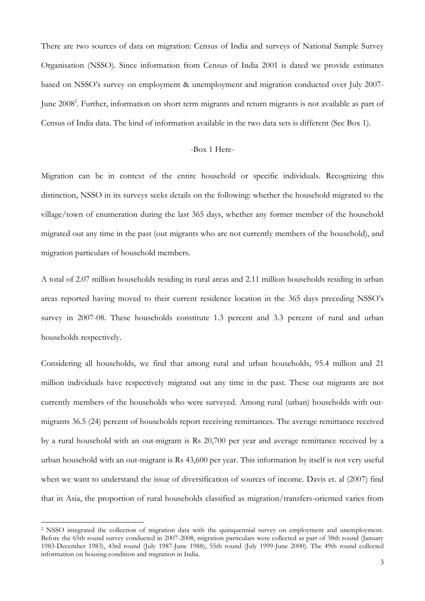There are two sources of data on migration: Census of India and surveys of National Sample Survey Organisation (NSSO). Since information from Census of India 2001 is dated we provide estimates based on NSSO's survey on employment & unemployment and migration conducted over July 2007- June 2008<sup>2</sup>. Further, information on short term migrants and return migrants is not available as part of Census of India data. The kind of information available in the two data sets is different (See Box 1).

## -Box 1 Here-

Migration can be in context of the entire household or specific individuals. Recognizing this distinction, NSSO in its surveys seeks details on the following: whether the household migrated to the village/town of enumeration during the last 365 days, whether any former member of the household migrated out any time in the past (out migrants who are not currently members of the household), and migration particulars of household members.

A total of 2.07 million households residing in rural areas and 2.11 million households residing in urban areas reported having moved to their current residence location in the 365 days preceding NSSO's survey in 2007-08. These households constitute 1.3 percent and 3.3 percent of rural and urban households respectively.

Considering all households, we find that among rural and urban households, 95.4 million and 21 million individuals have respectively migrated out any time in the past. These out migrants are not currently members of the households who were surveyed. Among rural (urban) households with outmigrants 36.5 (24) percent of households report receiving remittances. The average remittance received by a rural household with an out-migrant is Rs 20,700 per year and average remittance received by a urban household with an out-migrant is Rs 43,600 per year. This information by itself is not very useful when we want to understand the issue of diversification of sources of income. Davis et. al (2007) find that in Asia, the proportion of rural households classified as migration/transfers-oriented varies from

<sup>2</sup> NSSO integrated the collection of migration data with the quinquennial survey on employment and unemployment. Before the 65th round survey conducted in 2007-2008, migration particulars were collected as part of 38th round (January 1983-December 1983), 43rd round (July 1987-June 1988), 55th round (July 1999-June 2000). The 49th round collected information on housing condition and migration in India.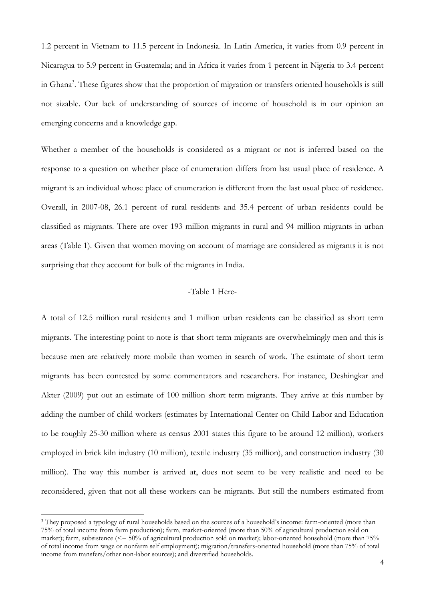1.2 percent in Vietnam to 11.5 percent in Indonesia. In Latin America, it varies from 0.9 percent in Nicaragua to 5.9 percent in Guatemala; and in Africa it varies from 1 percent in Nigeria to 3.4 percent in Ghana<sup>3</sup>. These figures show that the proportion of migration or transfers oriented households is still not sizable. Our lack of understanding of sources of income of household is in our opinion an emerging concerns and a knowledge gap.

Whether a member of the households is considered as a migrant or not is inferred based on the response to a question on whether place of enumeration differs from last usual place of residence. A migrant is an individual whose place of enumeration is different from the last usual place of residence. Overall, in 2007-08, 26.1 percent of rural residents and 35.4 percent of urban residents could be classified as migrants. There are over 193 million migrants in rural and 94 million migrants in urban areas (Table 1). Given that women moving on account of marriage are considered as migrants it is not surprising that they account for bulk of the migrants in India.

### -Table 1 Here-

A total of 12.5 million rural residents and 1 million urban residents can be classified as short term migrants. The interesting point to note is that short term migrants are overwhelmingly men and this is because men are relatively more mobile than women in search of work. The estimate of short term migrants has been contested by some commentators and researchers. For instance, Deshingkar and Akter (2009) put out an estimate of 100 million short term migrants. They arrive at this number by adding the number of child workers (estimates by International Center on Child Labor and Education to be roughly 25-30 million where as census 2001 states this figure to be around 12 million), workers employed in brick kiln industry (10 million), textile industry (35 million), and construction industry (30 million). The way this number is arrived at, does not seem to be very realistic and need to be reconsidered, given that not all these workers can be migrants. But still the numbers estimated from

<sup>3</sup> They proposed a typology of rural households based on the sources of a household's income: farm-oriented (more than 75% of total income from farm production); farm, market-oriented (more than 50% of agricultural production sold on market); farm, subsistence  $\ll$  = 50% of agricultural production sold on market); labor-oriented household (more than 75% of total income from wage or nonfarm self employment); migration/transfers-oriented household (more than 75% of total income from transfers/other non-labor sources); and diversified households.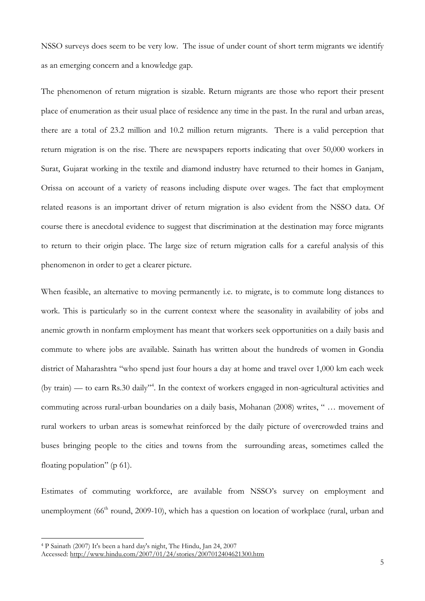NSSO surveys does seem to be very low. The issue of under count of short term migrants we identify as an emerging concern and a knowledge gap.

The phenomenon of return migration is sizable. Return migrants are those who report their present place of enumeration as their usual place of residence any time in the past. In the rural and urban areas, there are a total of 23.2 million and 10.2 million return migrants. There is a valid perception that return migration is on the rise. There are newspapers reports indicating that over 50,000 workers in Surat, Gujarat working in the textile and diamond industry have returned to their homes in Ganjam, Orissa on account of a variety of reasons including dispute over wages. The fact that employment related reasons is an important driver of return migration is also evident from the NSSO data. Of course there is anecdotal evidence to suggest that discrimination at the destination may force migrants to return to their origin place. The large size of return migration calls for a careful analysis of this phenomenon in order to get a clearer picture.

When feasible, an alternative to moving permanently i.e. to migrate, is to commute long distances to work. This is particularly so in the current context where the seasonality in availability of jobs and anemic growth in nonfarm employment has meant that workers seek opportunities on a daily basis and commute to where jobs are available. Sainath has written about the hundreds of women in Gondia district of Maharashtra "who spend just four hours a day at home and travel over 1,000 km each week (by train) — to earn Rs.30 daily"<sup>4</sup>. In the context of workers engaged in non-agricultural activities and commuting across rural-urban boundaries on a daily basis, Mohanan (2008) writes, " ... movement of rural workers to urban areas is somewhat reinforced by the daily picture of overcrowded trains and buses bringing people to the cities and towns from the surrounding areas, sometimes called the floating population" (p $61$ ).

Estimates of commuting workforce, are available from NSSO's survey on employment and unemployment  $(66<sup>th</sup>$  round, 2009-10), which has a question on location of workplace (rural, urban and

<sup>4</sup> P Sainath (2007) It's been a hard day's night, The Hindu, Jan 24, 2007

Accessed:<http://www.hindu.com/2007/01/24/stories/2007012404621300.htm>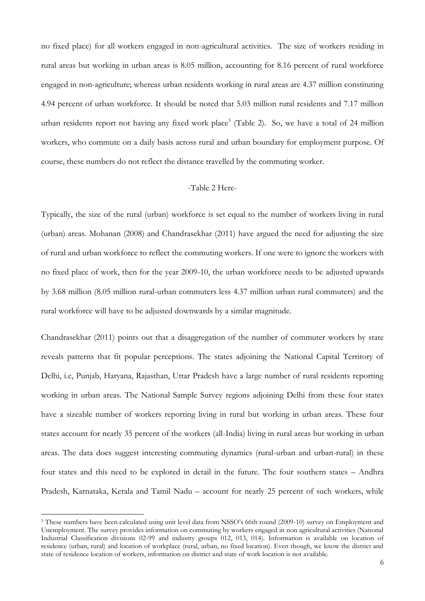no fixed place) for all workers engaged in non-agricultural activities. The size of workers residing in rural areas but working in urban areas is 8.05 million, accounting for 8.16 percent of rural workforce engaged in non-agriculture; whereas urban residents working in rural areas are 4.37 million constituting 4.94 percent of urban workforce. It should be noted that 5.03 million rural residents and 7.17 million urban residents report not having any fixed work place<sup>5</sup> (Table 2). So, we have a total of 24 million workers, who commute on a daily basis across rural and urban boundary for employment purpose. Of course, these numbers do not reflect the distance travelled by the commuting worker.

#### -Table 2 Here-

Typically, the size of the rural (urban) workforce is set equal to the number of workers living in rural (urban) areas. Mohanan (2008) and Chandrasekhar (2011) have argued the need for adjusting the size of rural and urban workforce to reflect the commuting workers. If one were to ignore the workers with no fixed place of work, then for the year 2009-10, the urban workforce needs to be adjusted upwards by 3.68 million (8.05 million rural-urban commuters less 4.37 million urban rural commuters) and the rural workforce will have to be adjusted downwards by a similar magnitude.

Chandrasekhar (2011) points out that a disaggregation of the number of commuter workers by state reveals patterns that fit popular perceptions. The states adjoining the National Capital Territory of Delhi, i.e, Punjab, Haryana, Rajasthan, Uttar Pradesh have a large number of rural residents reporting working in urban areas. The National Sample Survey regions adjoining Delhi from these four states have a sizeable number of workers reporting living in rural but working in urban areas. These four states account for nearly 35 percent of the workers (all-India) living in rural areas but working in urban areas. The data does suggest interesting commuting dynamics (rural-urban and urban-rural) in these four states and this need to be explored in detail in the future. The four southern states – Andhra Pradesh, Karnataka, Kerala and Tamil Nadu – account for nearly 25 percent of such workers, while

<sup>5</sup> These numbers have been calculated using unit level data from NSSO's 66th round (2009-10) survey on Employment and Unemployment. The survey provides information on commuting by workers engaged in non agricultural activities (National Industrial Classification divisions 02-99 and industry groups 012, 013, 014). Information is available on location of residence (urban, rural) and location of workplace (rural, urban, no fixed location). Even though, we know the district and state of residence location of workers, information on district and state of work location is not available.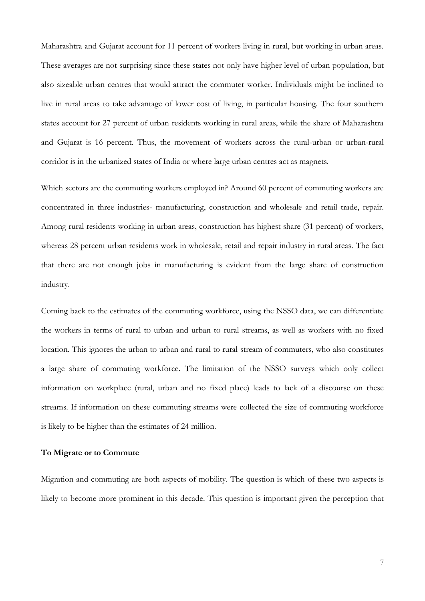Maharashtra and Gujarat account for 11 percent of workers living in rural, but working in urban areas. These averages are not surprising since these states not only have higher level of urban population, but also sizeable urban centres that would attract the commuter worker. Individuals might be inclined to live in rural areas to take advantage of lower cost of living, in particular housing. The four southern states account for 27 percent of urban residents working in rural areas, while the share of Maharashtra and Gujarat is 16 percent. Thus, the movement of workers across the rural-urban or urban-rural corridor is in the urbanized states of India or where large urban centres act as magnets.

Which sectors are the commuting workers employed in? Around 60 percent of commuting workers are concentrated in three industries- manufacturing, construction and wholesale and retail trade, repair. Among rural residents working in urban areas, construction has highest share (31 percent) of workers, whereas 28 percent urban residents work in wholesale, retail and repair industry in rural areas. The fact that there are not enough jobs in manufacturing is evident from the large share of construction industry.

Coming back to the estimates of the commuting workforce, using the NSSO data, we can differentiate the workers in terms of rural to urban and urban to rural streams, as well as workers with no fixed location. This ignores the urban to urban and rural to rural stream of commuters, who also constitutes a large share of commuting workforce. The limitation of the NSSO surveys which only collect information on workplace (rural, urban and no fixed place) leads to lack of a discourse on these streams. If information on these commuting streams were collected the size of commuting workforce is likely to be higher than the estimates of 24 million.

### **To Migrate or to Commute**

Migration and commuting are both aspects of mobility. The question is which of these two aspects is likely to become more prominent in this decade. This question is important given the perception that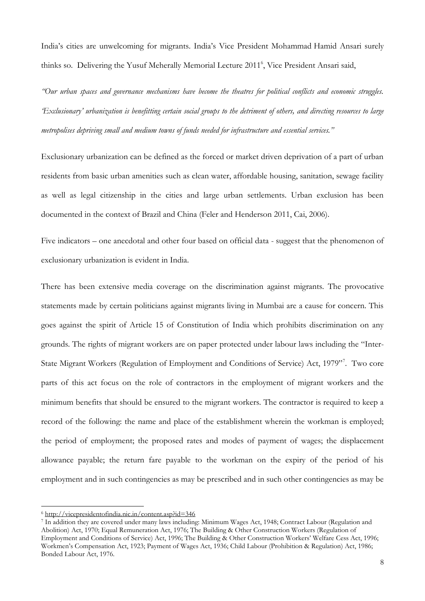India's cities are unwelcoming for migrants. India's Vice President Mohammad Hamid Ansari surely thinks so. Delivering the Yusuf Meherally Memorial Lecture 2011<sup>6</sup>, Vice President Ansari said,

*"Our urban spaces and governance mechanisms have become the theatres for political conflicts and economic struggles. "Exclusionary" urbanization is benefitting certain social groups to the detriment of others, and directing resources to large metropolises depriving small and medium towns of funds needed for infrastructure and essential services."*

Exclusionary urbanization can be defined as the forced or market driven deprivation of a part of urban residents from basic urban amenities such as clean water, affordable housing, sanitation, sewage facility as well as legal citizenship in the cities and large urban settlements. Urban exclusion has been documented in the context of Brazil and China (Feler and Henderson 2011, Cai, 2006).

Five indicators – one anecdotal and other four based on official data - suggest that the phenomenon of exclusionary urbanization is evident in India.

There has been extensive media coverage on the discrimination against migrants. The provocative statements made by certain politicians against migrants living in Mumbai are a cause for concern. This goes against the spirit of Article 15 of Constitution of India which prohibits discrimination on any grounds. The rights of migrant workers are on paper protected under labour laws including the "Inter-State Migrant Workers (Regulation of Employment and Conditions of Service) Act, 1979". Two core parts of this act focus on the role of contractors in the employment of migrant workers and the minimum benefits that should be ensured to the migrant workers. The contractor is required to keep a record of the following: the name and place of the establishment wherein the workman is employed; the period of employment; the proposed rates and modes of payment of wages; the displacement allowance payable; the return fare payable to the workman on the expiry of the period of his employment and in such contingencies as may be prescribed and in such other contingencies as may be

<sup>6</sup> <http://vicepresidentofindia.nic.in/content.asp?id=346>

<sup>7</sup> In addition they are covered under many laws including: Minimum Wages Act, 1948; Contract Labour (Regulation and Abolition) Act, 1970; Equal Remuneration Act, 1976; The Building & Other Construction Workers (Regulation of Employment and Conditions of Service) Act, 1996; The Building & Other Construction Workers' Welfare Cess Act, 1996; Workmen's Compensation Act, 1923; Payment of Wages Act, 1936; Child Labour (Prohibition & Regulation) Act, 1986; Bonded Labour Act, 1976.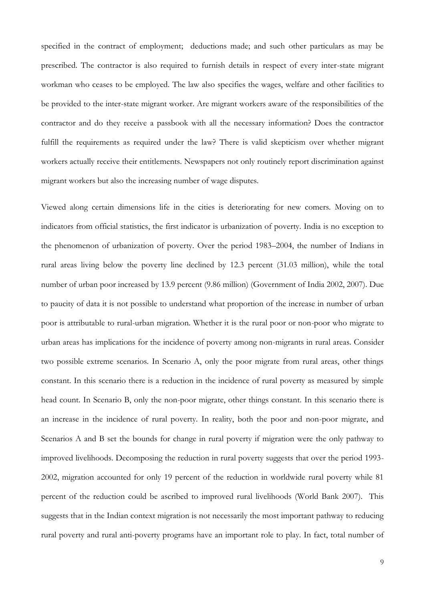specified in the contract of employment; deductions made; and such other particulars as may be prescribed. The contractor is also required to furnish details in respect of every inter-state migrant workman who ceases to be employed. The law also specifies the wages, welfare and other facilities to be provided to the inter-state migrant worker. Are migrant workers aware of the responsibilities of the contractor and do they receive a passbook with all the necessary information? Does the contractor fulfill the requirements as required under the law? There is valid skepticism over whether migrant workers actually receive their entitlements. Newspapers not only routinely report discrimination against migrant workers but also the increasing number of wage disputes.

Viewed along certain dimensions life in the cities is deteriorating for new comers. Moving on to indicators from official statistics, the first indicator is urbanization of poverty. India is no exception to the phenomenon of urbanization of poverty. Over the period 1983–2004, the number of Indians in rural areas living below the poverty line declined by 12.3 percent (31.03 million), while the total number of urban poor increased by 13.9 percent (9.86 million) (Government of India 2002, 2007). Due to paucity of data it is not possible to understand what proportion of the increase in number of urban poor is attributable to rural-urban migration. Whether it is the rural poor or non-poor who migrate to urban areas has implications for the incidence of poverty among non-migrants in rural areas. Consider two possible extreme scenarios. In Scenario A, only the poor migrate from rural areas, other things constant. In this scenario there is a reduction in the incidence of rural poverty as measured by simple head count. In Scenario B, only the non-poor migrate, other things constant. In this scenario there is an increase in the incidence of rural poverty. In reality, both the poor and non-poor migrate, and Scenarios A and B set the bounds for change in rural poverty if migration were the only pathway to improved livelihoods. Decomposing the reduction in rural poverty suggests that over the period 1993- 2002, migration accounted for only 19 percent of the reduction in worldwide rural poverty while 81 percent of the reduction could be ascribed to improved rural livelihoods (World Bank 2007). This suggests that in the Indian context migration is not necessarily the most important pathway to reducing rural poverty and rural anti-poverty programs have an important role to play. In fact, total number of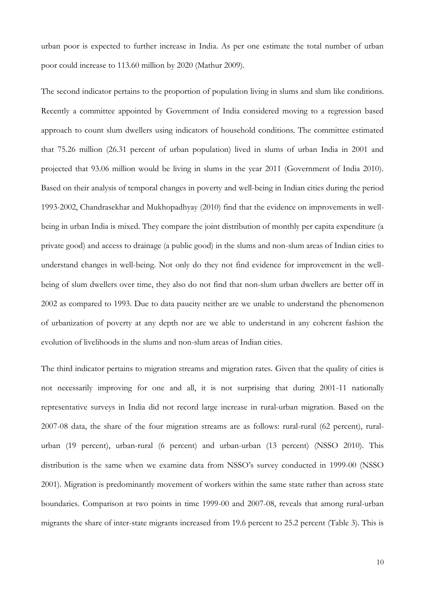urban poor is expected to further increase in India. As per one estimate the total number of urban poor could increase to 113.60 million by 2020 (Mathur 2009).

The second indicator pertains to the proportion of population living in slums and slum like conditions. Recently a committee appointed by Government of India considered moving to a regression based approach to count slum dwellers using indicators of household conditions. The committee estimated that 75.26 million (26.31 percent of urban population) lived in slums of urban India in 2001 and projected that 93.06 million would be living in slums in the year 2011 (Government of India 2010). Based on their analysis of temporal changes in poverty and well-being in Indian cities during the period 1993-2002, Chandrasekhar and Mukhopadhyay (2010) find that the evidence on improvements in wellbeing in urban India is mixed. They compare the joint distribution of monthly per capita expenditure (a private good) and access to drainage (a public good) in the slums and non-slum areas of Indian cities to understand changes in well-being. Not only do they not find evidence for improvement in the wellbeing of slum dwellers over time, they also do not find that non-slum urban dwellers are better off in 2002 as compared to 1993. Due to data paucity neither are we unable to understand the phenomenon of urbanization of poverty at any depth nor are we able to understand in any coherent fashion the evolution of livelihoods in the slums and non-slum areas of Indian cities.

The third indicator pertains to migration streams and migration rates. Given that the quality of cities is not necessarily improving for one and all, it is not surprising that during 2001-11 nationally representative surveys in India did not record large increase in rural-urban migration. Based on the 2007-08 data, the share of the four migration streams are as follows: rural-rural (62 percent), ruralurban (19 percent), urban-rural (6 percent) and urban-urban (13 percent) (NSSO 2010). This distribution is the same when we examine data from NSSO's survey conducted in 1999-00 (NSSO 2001). Migration is predominantly movement of workers within the same state rather than across state boundaries. Comparison at two points in time 1999-00 and 2007-08, reveals that among rural-urban migrants the share of inter-state migrants increased from 19.6 percent to 25.2 percent (Table 3). This is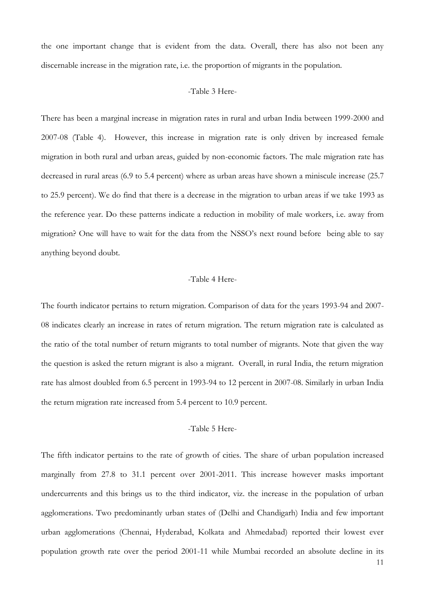the one important change that is evident from the data. Overall, there has also not been any discernable increase in the migration rate, i.e. the proportion of migrants in the population.

## -Table 3 Here-

There has been a marginal increase in migration rates in rural and urban India between 1999-2000 and 2007-08 (Table 4). However, this increase in migration rate is only driven by increased female migration in both rural and urban areas, guided by non-economic factors. The male migration rate has decreased in rural areas (6.9 to 5.4 percent) where as urban areas have shown a miniscule increase (25.7 to 25.9 percent). We do find that there is a decrease in the migration to urban areas if we take 1993 as the reference year. Do these patterns indicate a reduction in mobility of male workers, i.e. away from migration? One will have to wait for the data from the NSSO's next round before being able to say anything beyond doubt.

## -Table 4 Here-

The fourth indicator pertains to return migration. Comparison of data for the years 1993-94 and 2007- 08 indicates clearly an increase in rates of return migration. The return migration rate is calculated as the ratio of the total number of return migrants to total number of migrants. Note that given the way the question is asked the return migrant is also a migrant. Overall, in rural India, the return migration rate has almost doubled from 6.5 percent in 1993-94 to 12 percent in 2007-08. Similarly in urban India the return migration rate increased from 5.4 percent to 10.9 percent.

## -Table 5 Here-

The fifth indicator pertains to the rate of growth of cities. The share of urban population increased marginally from 27.8 to 31.1 percent over 2001-2011. This increase however masks important undercurrents and this brings us to the third indicator, viz. the increase in the population of urban agglomerations. Two predominantly urban states of (Delhi and Chandigarh) India and few important urban agglomerations (Chennai, Hyderabad, Kolkata and Ahmedabad) reported their lowest ever population growth rate over the period 2001-11 while Mumbai recorded an absolute decline in its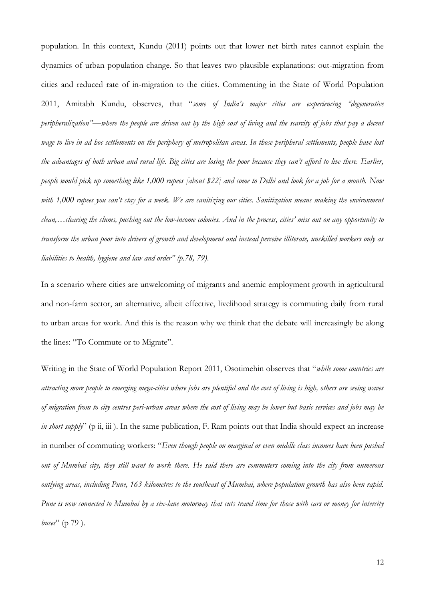population. In this context, Kundu (2011) points out that lower net birth rates cannot explain the dynamics of urban population change. So that leaves two plausible explanations: out-migration from cities and reduced rate of in-migration to the cities. Commenting in the State of World Population 2011, Amitabh Kundu, observes, that "some of India's major cities are experiencing "degenerative *peripheralization"—where the people are driven out by the high cost of living and the scarcity of jobs that pay a decent wage to live in ad hoc settlements on the periphery of metropolitan areas. In those peripheral settlements, people have lost the advantages of both urban and rural life. Big cities are losing the poor because they can"t afford to live there. Earlier, people would pick up something like 1,000 rupees [about \$22] and come to Delhi and look for a job for a month. Now*  with 1,000 rupees you can't stay for a week. We are sanitizing our cities. Sanitization means making the environment *clean,…clearing the slums, pushing out the low-income colonies. And in the process, cities" miss out on any opportunity to transform the urban poor into drivers of growth and development and instead perceive illiterate, unskilled workers only as liabilities to health, hygiene and law and order" (p.78, 79)*.

In a scenario where cities are unwelcoming of migrants and anemic employment growth in agricultural and non-farm sector, an alternative, albeit effective, livelihood strategy is commuting daily from rural to urban areas for work. And this is the reason why we think that the debate will increasingly be along the lines: "To Commute or to Migrate".

Writing in the State of World Population Report 2011, Osotimehin observes that "while some countries are *attracting more people to emerging mega-cities where jobs are plentiful and the cost of living is high, others are seeing waves of migration from to city centres peri-urban areas where the cost of living may be lower but basic services and jobs may be in short supply*" (p ii, iii). In the same publication, F. Ram points out that India should expect an increase in number of commuting workers: "Even though people on marginal or even middle class incomes have been pushed *out of Mumbai city, they still want to work there. He said there are commuters coming into the city from numerous outlying areas, including Pune, 163 kilometres to the southeast of Mumbai, where population growth has also been rapid. Pune is now connected to Mumbai by a six-lane motorway that cuts travel time for those with cars or money for intercity buses*" (p 79).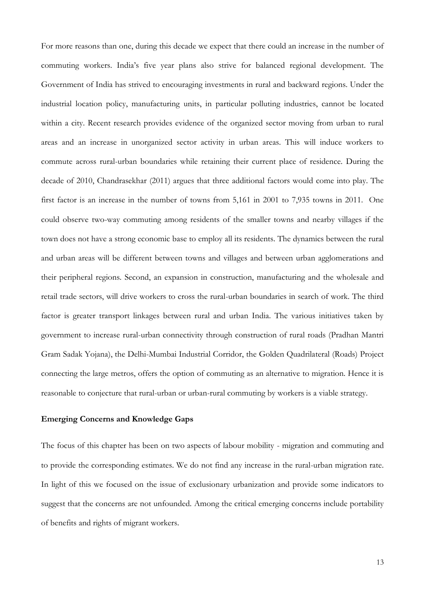For more reasons than one, during this decade we expect that there could an increase in the number of commuting workers. India's five year plans also strive for balanced regional development. The Government of India has strived to encouraging investments in rural and backward regions. Under the industrial location policy, manufacturing units, in particular polluting industries, cannot be located within a city. Recent research provides evidence of the organized sector moving from urban to rural areas and an increase in unorganized sector activity in urban areas. This will induce workers to commute across rural-urban boundaries while retaining their current place of residence. During the decade of 2010, Chandrasekhar (2011) argues that three additional factors would come into play. The first factor is an increase in the number of towns from 5,161 in 2001 to 7,935 towns in 2011. One could observe two-way commuting among residents of the smaller towns and nearby villages if the town does not have a strong economic base to employ all its residents. The dynamics between the rural and urban areas will be different between towns and villages and between urban agglomerations and their peripheral regions. Second, an expansion in construction, manufacturing and the wholesale and retail trade sectors, will drive workers to cross the rural-urban boundaries in search of work. The third factor is greater transport linkages between rural and urban India. The various initiatives taken by government to increase rural-urban connectivity through construction of rural roads (Pradhan Mantri Gram Sadak Yojana), the Delhi-Mumbai Industrial Corridor, the Golden Quadrilateral (Roads) Project connecting the large metros, offers the option of commuting as an alternative to migration. Hence it is reasonable to conjecture that rural-urban or urban-rural commuting by workers is a viable strategy.

## **Emerging Concerns and Knowledge Gaps**

The focus of this chapter has been on two aspects of labour mobility - migration and commuting and to provide the corresponding estimates. We do not find any increase in the rural-urban migration rate. In light of this we focused on the issue of exclusionary urbanization and provide some indicators to suggest that the concerns are not unfounded. Among the critical emerging concerns include portability of benefits and rights of migrant workers.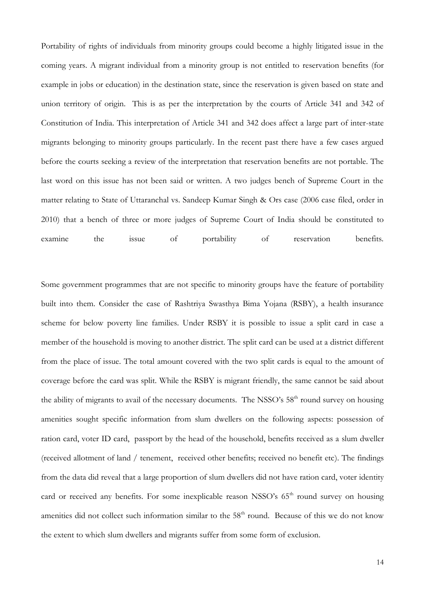Portability of rights of individuals from minority groups could become a highly litigated issue in the coming years. A migrant individual from a minority group is not entitled to reservation benefits (for example in jobs or education) in the destination state, since the reservation is given based on state and union territory of origin. This is as per the interpretation by the courts of Article 341 and 342 of Constitution of India. This interpretation of Article 341 and 342 does affect a large part of inter-state migrants belonging to minority groups particularly. In the recent past there have a few cases argued before the courts seeking a review of the interpretation that reservation benefits are not portable. The last word on this issue has not been said or written. A two judges bench of Supreme Court in the matter relating to State of Uttaranchal vs. Sandeep Kumar Singh & Ors case (2006 case filed, order in 2010) that a bench of three or more judges of Supreme Court of India should be constituted to examine the issue of portability of reservation benefits.

Some government programmes that are not specific to minority groups have the feature of portability built into them. Consider the case of Rashtriya Swasthya Bima Yojana (RSBY), a health insurance scheme for below poverty line families. Under RSBY it is possible to issue a split card in case a member of the household is moving to another district. The split card can be used at a district different from the place of issue. The total amount covered with the two split cards is equal to the amount of coverage before the card was split. While the RSBY is migrant friendly, the same cannot be said about the ability of migrants to avail of the necessary documents. The NSSO's 58<sup>th</sup> round survey on housing amenities sought specific information from slum dwellers on the following aspects: possession of ration card, voter ID card, passport by the head of the household, benefits received as a slum dweller (received allotment of land / tenement, received other benefits; received no benefit etc). The findings from the data did reveal that a large proportion of slum dwellers did not have ration card, voter identity card or received any benefits. For some inexplicable reason NSSO's 65<sup>th</sup> round survey on housing amenities did not collect such information similar to the  $58<sup>th</sup>$  round. Because of this we do not know the extent to which slum dwellers and migrants suffer from some form of exclusion.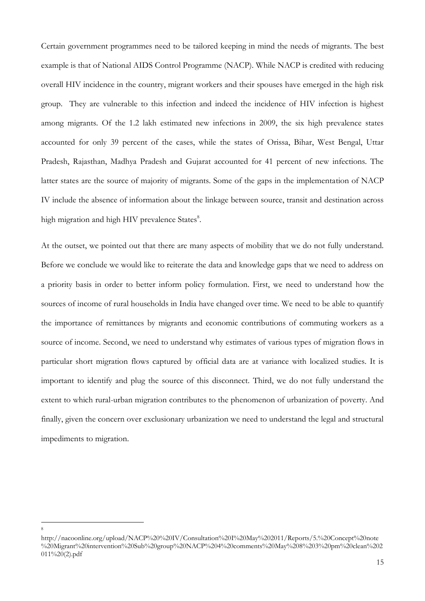Certain government programmes need to be tailored keeping in mind the needs of migrants. The best example is that of National AIDS Control Programme (NACP). While NACP is credited with reducing overall HIV incidence in the country, migrant workers and their spouses have emerged in the high risk group. They are vulnerable to this infection and indeed the incidence of HIV infection is highest among migrants. Of the 1.2 lakh estimated new infections in 2009, the six high prevalence states accounted for only 39 percent of the cases, while the states of Orissa, Bihar, West Bengal, Uttar Pradesh, Rajasthan, Madhya Pradesh and Gujarat accounted for 41 percent of new infections. The latter states are the source of majority of migrants. Some of the gaps in the implementation of NACP IV include the absence of information about the linkage between source, transit and destination across high migration and high HIV prevalence States<sup>8</sup>.

At the outset, we pointed out that there are many aspects of mobility that we do not fully understand. Before we conclude we would like to reiterate the data and knowledge gaps that we need to address on a priority basis in order to better inform policy formulation. First, we need to understand how the sources of income of rural households in India have changed over time. We need to be able to quantify the importance of remittances by migrants and economic contributions of commuting workers as a source of income. Second, we need to understand why estimates of various types of migration flows in particular short migration flows captured by official data are at variance with localized studies. It is important to identify and plug the source of this disconnect. Third, we do not fully understand the extent to which rural-urban migration contributes to the phenomenon of urbanization of poverty. And finally, given the concern over exclusionary urbanization we need to understand the legal and structural impediments to migration.

http://nacoonline.org/upload/NACP%20%20IV/Consultation%20I%20May%202011/Reports/5.%20Concept%20note %20Migrant%20intervention%20Sub%20group%20NACP%204%20comments%20May%208%203%20pm%20clean%202  $011\%20(2)$ .pdf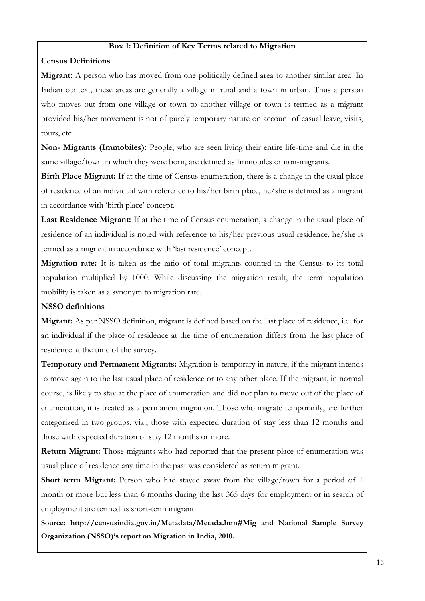## **Box 1: Definition of Key Terms related to Migration**

# **Census Definitions**

**Migrant:** A person who has moved from one politically defined area to another similar area. In Indian context, these areas are generally a village in rural and a town in urban. Thus a person who moves out from one village or town to another village or town is termed as a migrant provided his/her movement is not of purely temporary nature on account of casual leave, visits, tours, etc.

**Non- Migrants (Immobiles):** People, who are seen living their entire life-time and die in the same village/town in which they were born, are defined as Immobiles or non-migrants.

**Birth Place Migrant:** If at the time of Census enumeration, there is a change in the usual place of residence of an individual with reference to his/her birth place, he/she is defined as a migrant in accordance with 'birth place' concept.

Last Residence Migrant: If at the time of Census enumeration, a change in the usual place of residence of an individual is noted with reference to his/her previous usual residence, he/she is termed as a migrant in accordance with 'last residence' concept.

**Migration rate:** It is taken as the ratio of total migrants counted in the Census to its total population multiplied by 1000. While discussing the migration result, the term population mobility is taken as a synonym to migration rate.

# **NSSO definitions**

**Migrant:** As per NSSO definition, migrant is defined based on the last place of residence, i.e. for an individual if the place of residence at the time of enumeration differs from the last place of residence at the time of the survey.

**Temporary and Permanent Migrants:** Migration is temporary in nature, if the migrant intends to move again to the last usual place of residence or to any other place. If the migrant, in normal course, is likely to stay at the place of enumeration and did not plan to move out of the place of enumeration, it is treated as a permanent migration. Those who migrate temporarily, are further categorized in two groups, viz., those with expected duration of stay less than 12 months and those with expected duration of stay 12 months or more.

**Return Migrant:** Those migrants who had reported that the present place of enumeration was usual place of residence any time in the past was considered as return migrant.

Short term Migrant: Person who had stayed away from the village/town for a period of 1 month or more but less than 6 months during the last 365 days for employment or in search of employment are termed as short-term migrant.

**Source: <http://censusindia.gov.in/Metadata/Metada.htm#Mig> and National Sample Survey Organization (NSSO)'s report on Migration in India, 2010.**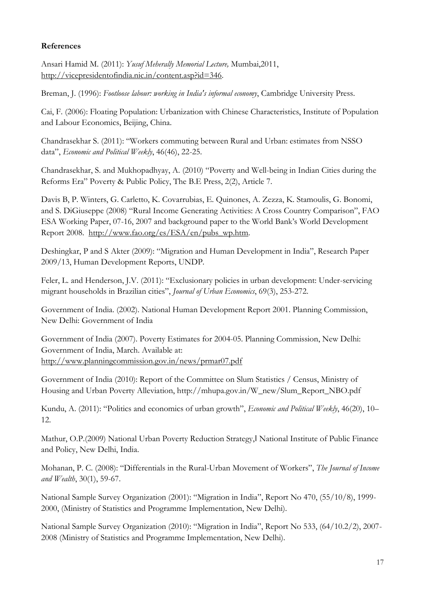# **References**

Ansari Hamid M. (2011): *Yusuf Meherally Memorial Lecture,* Mumbai,2011, [http://vicepresidentofindia.nic.in/content.asp?id=346.](http://vicepresidentofindia.nic.in/content.asp?id=346)

Breman, J. (1996): *Footloose labour: working in India's informal economy*, Cambridge University Press.

Cai, F. (2006): Floating Population: Urbanization with Chinese Characteristics, Institute of Population and Labour Economics, Beijing, China.

Chandrasekhar S. (2011): "Workers commuting between Rural and Urban: estimates from NSSO data", *Economic and Political Weekly*, 46(46), 22-25.

Chandrasekhar, S. and Mukhopadhyay, A. (2010) "Poverty and Well-being in Indian Cities during the Reforms Era" Poverty & Public Policy, The B.E Press, 2(2), Article 7.

Davis B, P. Winters, G. Carletto, K. Covarrubias, E. Quinones, A. Zezza, K. Stamoulis, G. Bonomi, and S. DiGiuseppe (2008) "Rural Income Generating Activities: A Cross Country Comparison", FAO ESA Working Paper, 07-16, 2007 and background paper to the World Bank's World Development Report 2008. [http://www.fao.org/es/ESA/en/pubs\\_wp.htm.](http://www.fao.org/es/ESA/en/pubs_wp.htm)

Deshingkar, P and S Akter (2009): "Migration and Human Development in India", Research Paper 2009/13, Human Development Reports, UNDP.

Feler, L. and Henderson, J.V. (2011): "Exclusionary policies in urban development: Under-servicing migrant households in Brazilian cities", *Journal of Urban Economics*, 69(3), 253-272.

Government of India. (2002). National Human Development Report 2001. Planning Commission, New Delhi: Government of India

Government of India (2007). Poverty Estimates for 2004-05. Planning Commission, New Delhi: Government of India, March. Available at: <http://www.planningcommission.gov.in/news/prmar07.pdf>

Government of India (2010): Report of the Committee on Slum Statistics / Census, Ministry of Housing and Urban Poverty Alleviation, http://mhupa.gov.in/W\_new/Slum\_Report\_NBO.pdf

Kundu, A. (2011): "Politics and economics of urban growth", *Economic and Political Weekly*, 46(20), 10– 12.

Mathur, O.P.(2009) National Urban Poverty Reduction Strategy,‖ National Institute of Public Finance and Policy, New Delhi, India.

Mohanan, P. C. (2008): "Differentials in the Rural-Urban Movement of Workers", *The Journal of Income and Wealth*, 30(1), 59-67.

National Sample Survey Organization (2001): "Migration in India", Report No 470, (55/10/8), 1999-2000, (Ministry of Statistics and Programme Implementation, New Delhi).

National Sample Survey Organization (2010): "Migration in India", Report No 533, (64/10.2/2), 2007-2008 (Ministry of Statistics and Programme Implementation, New Delhi).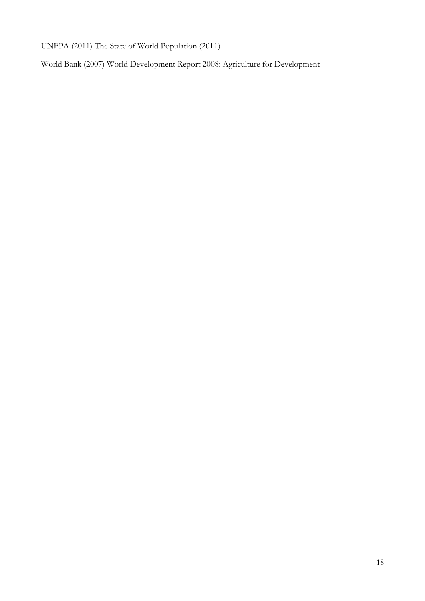UNFPA (2011) The State of World Population (2011)

World Bank (2007) World Development Report 2008: Agriculture for Development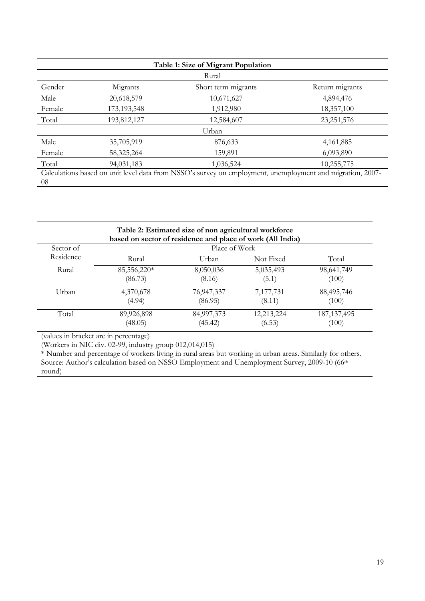| Table 1: Size of Migrant Population |             |                                                                                                           |                 |  |  |  |
|-------------------------------------|-------------|-----------------------------------------------------------------------------------------------------------|-----------------|--|--|--|
|                                     | Rural       |                                                                                                           |                 |  |  |  |
| Gender                              | Migrants    | Short term migrants                                                                                       | Return migrants |  |  |  |
| Male                                | 20,618,579  | 10,671,627                                                                                                | 4,894,476       |  |  |  |
| Female                              | 173,193,548 | 1,912,980                                                                                                 | 18,357,100      |  |  |  |
| Total                               | 193,812,127 | 12,584,607                                                                                                | 23, 251, 576    |  |  |  |
|                                     |             | Urban                                                                                                     |                 |  |  |  |
| Male                                | 35,705,919  | 876,633                                                                                                   | 4,161,885       |  |  |  |
| Female                              | 58,325,264  | 159,891                                                                                                   | 6,093,890       |  |  |  |
| Total                               | 94,031,183  | 1,036,524                                                                                                 | 10,255,775      |  |  |  |
| 08                                  |             | Calculations based on unit level data from NSSO's survey on employment, unemployment and migration, 2007- |                 |  |  |  |

| Table 2: Estimated size of non agricultural workforce<br>based on sector of residence and place of work (All India) |               |            |            |               |  |
|---------------------------------------------------------------------------------------------------------------------|---------------|------------|------------|---------------|--|
| Sector of                                                                                                           | Place of Work |            |            |               |  |
| Residence                                                                                                           | Rural         | Urban      | Not Fixed  | Total         |  |
| Rural                                                                                                               | 85,556,220*   | 8,050,036  | 5,035,493  | 98,641,749    |  |
|                                                                                                                     | (86.73)       | (8.16)     | (5.1)      | (100)         |  |
| Urban                                                                                                               | 4,370,678     | 76,947,337 | 7,177,731  | 88,495,746    |  |
|                                                                                                                     | (4.94)        | (86.95)    | (8.11)     | (100)         |  |
| Total                                                                                                               | 89,926,898    | 84,997,373 | 12,213,224 | 187, 137, 495 |  |
|                                                                                                                     | (48.05)       | (45.42)    | (6.53)     | (100)         |  |

(values in bracket are in percentage)

(Workers in NIC div. 02-99, industry group 012,014,015)

\* Number and percentage of workers living in rural areas but working in urban areas. Similarly for others. Source: Author's calculation based on NSSO Employment and Unemployment Survey, 2009-10 (66<sup>th</sup> round)